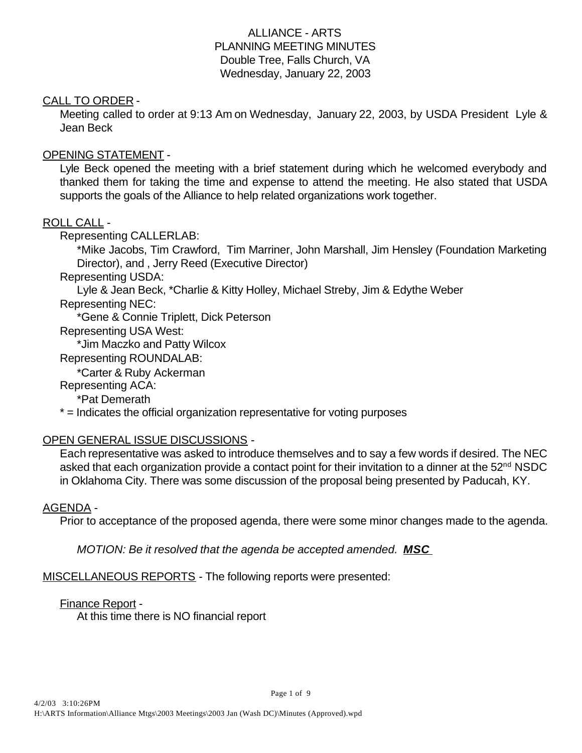## ALLIANCE - ARTS PLANNING MEETING MINUTES Double Tree, Falls Church, VA Wednesday, January 22, 2003

#### CALL TO ORDER -

Meeting called to order at 9:13 Am on Wednesday, January 22, 2003, by USDA President Lyle & Jean Beck

#### OPENING STATEMENT -

Lyle Beck opened the meeting with a brief statement during which he welcomed everybody and thanked them for taking the time and expense to attend the meeting. He also stated that USDA supports the goals of the Alliance to help related organizations work together.

#### ROLL CALL -

Representing CALLERLAB:

\*Mike Jacobs, Tim Crawford, Tim Marriner, John Marshall, Jim Hensley (Foundation Marketing Director), and , Jerry Reed (Executive Director)

Representing USDA:

Lyle & Jean Beck, \*Charlie & Kitty Holley, Michael Streby, Jim & Edythe Weber

Representing NEC:

\*Gene & Connie Triplett, Dick Peterson

Representing USA West:

\*Jim Maczko and Patty Wilcox

Representing ROUNDALAB:

\*Carter & Ruby Ackerman

Representing ACA:

\*Pat Demerath

\* = Indicates the official organization representative for voting purposes

## OPEN GENERAL ISSUE DISCUSSIONS -

Each representative was asked to introduce themselves and to say a few words if desired. The NEC asked that each organization provide a contact point for their invitation to a dinner at the  $52<sup>nd</sup> NSDC$ in Oklahoma City. There was some discussion of the proposal being presented by Paducah, KY.

#### AGENDA -

Prior to acceptance of the proposed agenda, there were some minor changes made to the agenda.

*MOTION: Be it resolved that the agenda be accepted amended. MSC* 

MISCELLANEOUS REPORTS - The following reports were presented:

#### Finance Report -

At this time there is NO financial report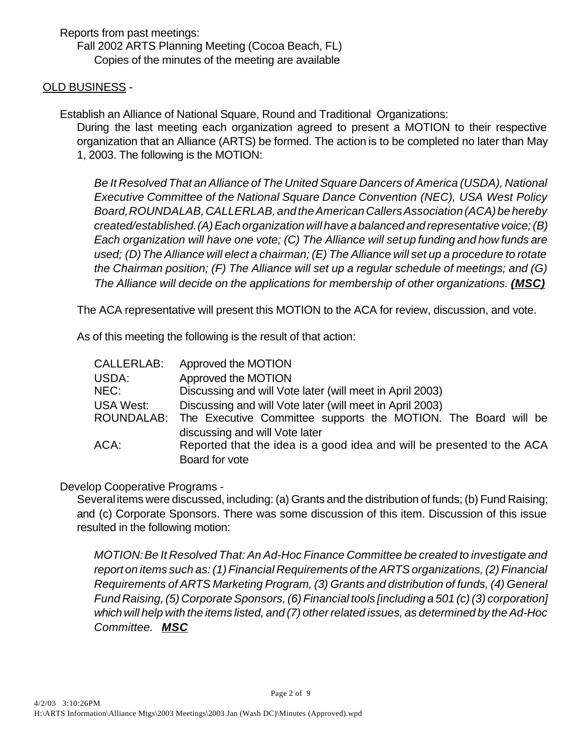Reports from past meetings: Fall 2002 ARTS Planning Meeting (Cocoa Beach, FL) Copies of the minutes of the meeting are available

## OLD BUSINESS -

Establish an Alliance of National Square, Round and Traditional Organizations: During the last meeting each organization agreed to present a MOTION to their respective organization that an Alliance (ARTS) be formed. The action is to be completed no later than May 1, 2003. The following is the MOTION:

*Be It Resolved That an Alliance of The United Square Dancers of America (USDA), National Executive Committee of the National Square Dance Convention (NEC), USA West Policy Board, ROUNDALAB, CALLERLAB, and the American Callers Association (ACA) be hereby created/established. (A) Each organization will have a balanced and representative voice; (B) Each organization will have one vote; (C) The Alliance will set up funding and how funds are used; (D) The Alliance will elect a chairman; (E) The Alliance will set up a procedure to rotate the Chairman position; (F) The Alliance will set up a regular schedule of meetings; and (G) The Alliance will decide on the applications for membership of other organizations. (MSC)*

The ACA representative will present this MOTION to the ACA for review, discussion, and vote.

As of this meeting the following is the result of that action:

| <b>CALLERLAB:</b> | Approved the MOTION                                                       |
|-------------------|---------------------------------------------------------------------------|
| USDA:             | Approved the MOTION                                                       |
| NEC:              | Discussing and will Vote later (will meet in April 2003)                  |
| <b>USA West:</b>  | Discussing and will Vote later (will meet in April 2003)                  |
|                   | ROUNDALAB: The Executive Committee supports the MOTION. The Board will be |
|                   | discussing and will Vote later                                            |
| ACA:              | Reported that the idea is a good idea and will be presented to the ACA    |
|                   | Board for vote                                                            |

Develop Cooperative Programs -

Several items were discussed, including: (a) Grants and the distribution of funds; (b) Fund Raising; and (c) Corporate Sponsors. There was some discussion of this item. Discussion of this issue resulted in the following motion:

*MOTION: Be It Resolved That: An Ad-Hoc Finance Committee be created to investigate and report on items such as: (1) Financial Requirements of the ARTS organizations, (2) Financial Requirements of ARTS Marketing Program, (3) Grants and distribution of funds, (4) General Fund Raising, (5) Corporate Sponsors, (6) Financial tools [including a 501 (c) (3) corporation] which will help with the items listed, and (7) other related issues, as determined by the Ad-Hoc Committee. MSC*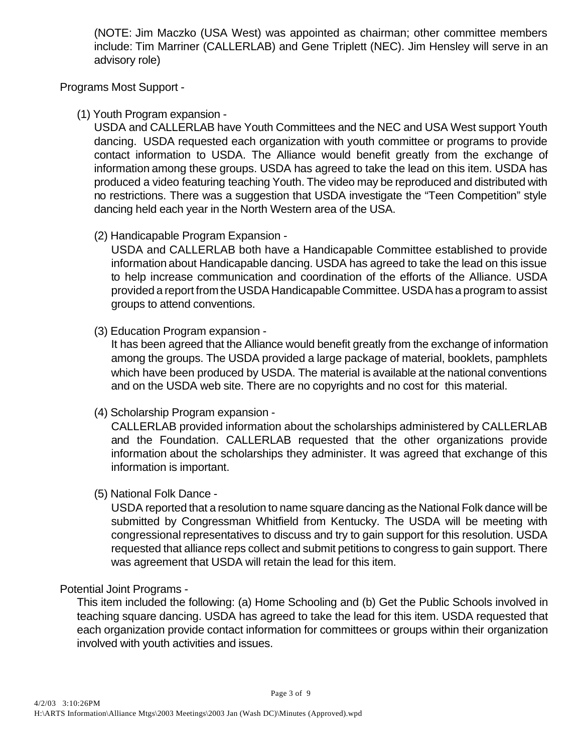(NOTE: Jim Maczko (USA West) was appointed as chairman; other committee members include: Tim Marriner (CALLERLAB) and Gene Triplett (NEC). Jim Hensley will serve in an advisory role)

Programs Most Support -

(1) Youth Program expansion -

USDA and CALLERLAB have Youth Committees and the NEC and USA West support Youth dancing. USDA requested each organization with youth committee or programs to provide contact information to USDA. The Alliance would benefit greatly from the exchange of information among these groups. USDA has agreed to take the lead on this item. USDA has produced a video featuring teaching Youth. The video may be reproduced and distributed with no restrictions. There was a suggestion that USDA investigate the "Teen Competition" style dancing held each year in the North Western area of the USA.

(2) Handicapable Program Expansion -

USDA and CALLERLAB both have a Handicapable Committee established to provide information about Handicapable dancing. USDA has agreed to take the lead on this issue to help increase communication and coordination of the efforts of the Alliance. USDA provided a report from the USDA Handicapable Committee. USDA has a program to assist groups to attend conventions.

(3) Education Program expansion -

It has been agreed that the Alliance would benefit greatly from the exchange of information among the groups. The USDA provided a large package of material, booklets, pamphlets which have been produced by USDA. The material is available at the national conventions and on the USDA web site. There are no copyrights and no cost for this material.

(4) Scholarship Program expansion -

CALLERLAB provided information about the scholarships administered by CALLERLAB and the Foundation. CALLERLAB requested that the other organizations provide information about the scholarships they administer. It was agreed that exchange of this information is important.

(5) National Folk Dance -

USDA reported that a resolution to name square dancing as the National Folk dance will be submitted by Congressman Whitfield from Kentucky. The USDA will be meeting with congressional representatives to discuss and try to gain support for this resolution. USDA requested that alliance reps collect and submit petitions to congress to gain support. There was agreement that USDA will retain the lead for this item.

## Potential Joint Programs -

This item included the following: (a) Home Schooling and (b) Get the Public Schools involved in teaching square dancing. USDA has agreed to take the lead for this item. USDA requested that each organization provide contact information for committees or groups within their organization involved with youth activities and issues.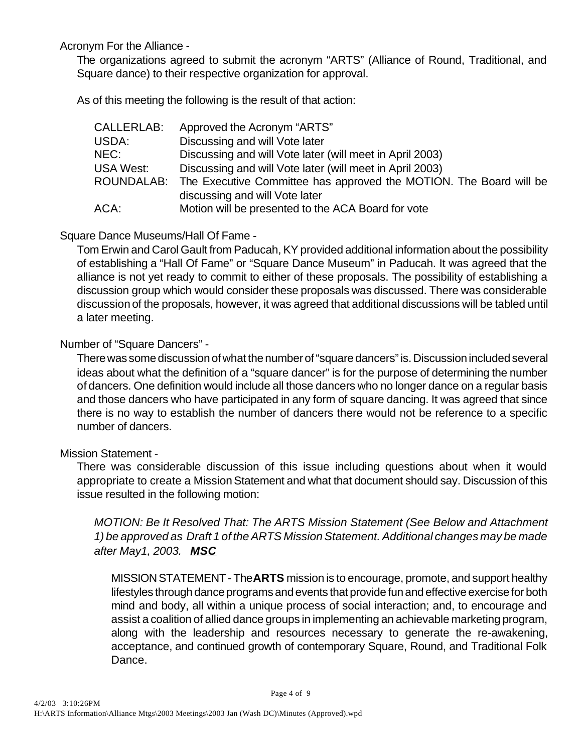Acronym For the Alliance -

The organizations agreed to submit the acronym "ARTS" (Alliance of Round, Traditional, and Square dance) to their respective organization for approval.

As of this meeting the following is the result of that action:

| Approved the Acronym "ARTS"                                                   |
|-------------------------------------------------------------------------------|
| Discussing and will Vote later                                                |
| Discussing and will Vote later (will meet in April 2003)                      |
| Discussing and will Vote later (will meet in April 2003)                      |
| ROUNDALAB: The Executive Committee has approved the MOTION. The Board will be |
| discussing and will Vote later                                                |
| Motion will be presented to the ACA Board for vote                            |
|                                                                               |

Square Dance Museums/Hall Of Fame -

Tom Erwin and Carol Gault from Paducah, KY provided additional information about the possibility of establishing a "Hall Of Fame" or "Square Dance Museum" in Paducah. It was agreed that the alliance is not yet ready to commit to either of these proposals. The possibility of establishing a discussion group which would consider these proposals was discussed. There was considerable discussion of the proposals, however, it was agreed that additional discussions will be tabled until a later meeting.

Number of "Square Dancers" -

There was some discussion of what the number of "square dancers" is. Discussion included several ideas about what the definition of a "square dancer" is for the purpose of determining the number of dancers. One definition would include all those dancers who no longer dance on a regular basis and those dancers who have participated in any form of square dancing. It was agreed that since there is no way to establish the number of dancers there would not be reference to a specific number of dancers.

## Mission Statement -

There was considerable discussion of this issue including questions about when it would appropriate to create a Mission Statement and what that document should say. Discussion of this issue resulted in the following motion:

*MOTION: Be It Resolved That: The ARTS Mission Statement (See Below and Attachment 1) be approved as Draft 1 of the ARTS Mission Statement. Additional changes may be made after May1, 2003. MSC*

MISSION STATEMENT - The **ARTS** mission is to encourage, promote, and support healthy lifestyles through dance programs and events that provide fun and effective exercise for both mind and body, all within a unique process of social interaction; and, to encourage and assist a coalition of allied dance groups in implementing an achievable marketing program, along with the leadership and resources necessary to generate the re-awakening, acceptance, and continued growth of contemporary Square, Round, and Traditional Folk Dance.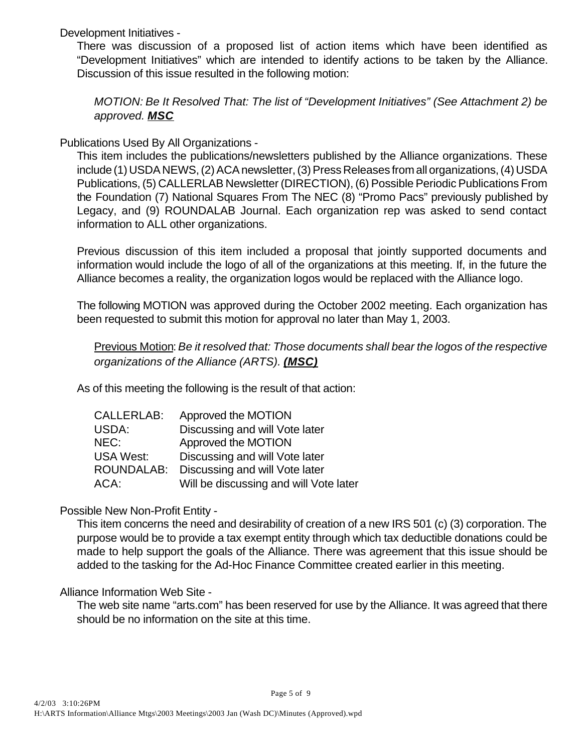Development Initiatives -

There was discussion of a proposed list of action items which have been identified as "Development Initiatives" which are intended to identify actions to be taken by the Alliance. Discussion of this issue resulted in the following motion:

*MOTION: Be It Resolved That: The list of "Development Initiatives" (See Attachment 2) be approved. MSC*

Publications Used By All Organizations -

This item includes the publications/newsletters published by the Alliance organizations. These include (1) USDA NEWS, (2) ACA newsletter, (3) Press Releases from all organizations, (4) USDA Publications, (5) CALLERLAB Newsletter (DIRECTION), (6) Possible Periodic Publications From the Foundation (7) National Squares From The NEC (8) "Promo Pacs" previously published by Legacy, and (9) ROUNDALAB Journal. Each organization rep was asked to send contact information to ALL other organizations.

Previous discussion of this item included a proposal that jointly supported documents and information would include the logo of all of the organizations at this meeting. If, in the future the Alliance becomes a reality, the organization logos would be replaced with the Alliance logo.

The following MOTION was approved during the October 2002 meeting. Each organization has been requested to submit this motion for approval no later than May 1, 2003.

Previous Motion:*Be it resolved that: Those documents shall bear the logos of the respective organizations of the Alliance (ARTS). (MSC)*

As of this meeting the following is the result of that action:

| CALLERLAB:        | Approved the MOTION                    |
|-------------------|----------------------------------------|
| USDA:             | Discussing and will Vote later         |
| NEC:              | Approved the MOTION                    |
| <b>USA West:</b>  | Discussing and will Vote later         |
| <b>ROUNDALAB:</b> | Discussing and will Vote later         |
| ACA:              | Will be discussing and will Vote later |

Possible New Non-Profit Entity -

This item concerns the need and desirability of creation of a new IRS 501 (c) (3) corporation. The purpose would be to provide a tax exempt entity through which tax deductible donations could be made to help support the goals of the Alliance. There was agreement that this issue should be added to the tasking for the Ad-Hoc Finance Committee created earlier in this meeting.

## Alliance Information Web Site -

The web site name "arts.com" has been reserved for use by the Alliance. It was agreed that there should be no information on the site at this time.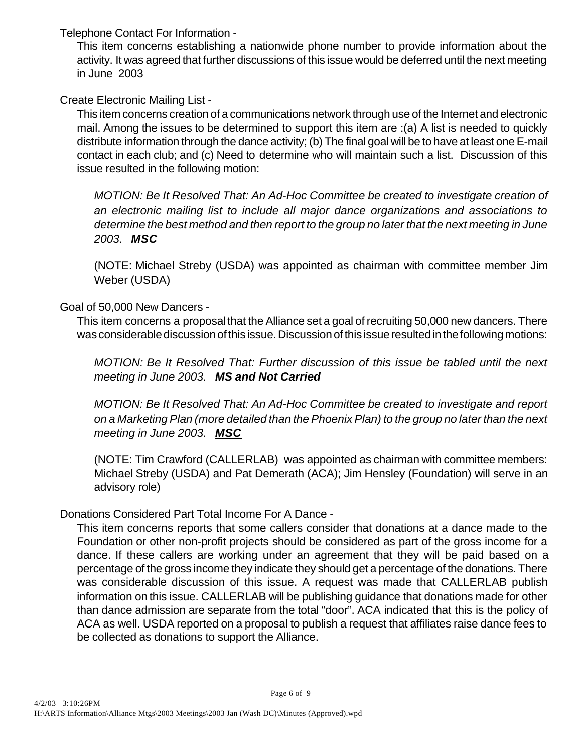Telephone Contact For Information -

This item concerns establishing a nationwide phone number to provide information about the activity. It was agreed that further discussions of this issue would be deferred until the next meeting in June 2003

Create Electronic Mailing List -

This item concerns creation of a communications network through use of the Internet and electronic mail. Among the issues to be determined to support this item are :(a) A list is needed to quickly distribute information through the dance activity; (b) The final goal will be to have at least one E-mail contact in each club; and (c) Need to determine who will maintain such a list. Discussion of this issue resulted in the following motion:

*MOTION: Be It Resolved That: An Ad-Hoc Committee be created to investigate creation of an electronic mailing list to include all major dance organizations and associations to determine the best method and then report to the group no later that the next meeting in June 2003. MSC*

(NOTE: Michael Streby (USDA) was appointed as chairman with committee member Jim Weber (USDA)

Goal of 50,000 New Dancers -

This item concerns a proposal that the Alliance set a goal of recruiting 50,000 new dancers. There was considerable discussion of this issue. Discussion of this issue resulted in the following motions:

*MOTION: Be It Resolved That: Further discussion of this issue be tabled until the next meeting in June 2003. MS and Not Carried*

*MOTION: Be It Resolved That: An Ad-Hoc Committee be created to investigate and report on a Marketing Plan (more detailed than the Phoenix Plan) to the group no later than the next meeting in June 2003. MSC*

(NOTE: Tim Crawford (CALLERLAB) was appointed as chairman with committee members: Michael Streby (USDA) and Pat Demerath (ACA); Jim Hensley (Foundation) will serve in an advisory role)

Donations Considered Part Total Income For A Dance -

This item concerns reports that some callers consider that donations at a dance made to the Foundation or other non-profit projects should be considered as part of the gross income for a dance. If these callers are working under an agreement that they will be paid based on a percentage of the gross income they indicate they should get a percentage of the donations. There was considerable discussion of this issue. A request was made that CALLERLAB publish information on this issue. CALLERLAB will be publishing guidance that donations made for other than dance admission are separate from the total "door". ACA indicated that this is the policy of ACA as well. USDA reported on a proposal to publish a request that affiliates raise dance fees to be collected as donations to support the Alliance.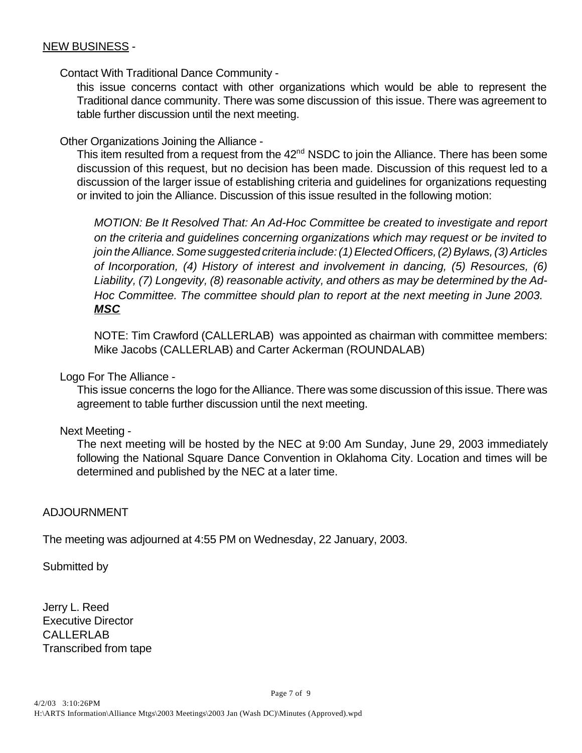#### NEW BUSINESS -

Contact With Traditional Dance Community -

this issue concerns contact with other organizations which would be able to represent the Traditional dance community. There was some discussion of this issue. There was agreement to table further discussion until the next meeting.

Other Organizations Joining the Alliance -

This item resulted from a request from the 42<sup>nd</sup> NSDC to join the Alliance. There has been some discussion of this request, but no decision has been made. Discussion of this request led to a discussion of the larger issue of establishing criteria and guidelines for organizations requesting or invited to join the Alliance. Discussion of this issue resulted in the following motion:

*MOTION: Be It Resolved That: An Ad-Hoc Committee be created to investigate and report on the criteria and guidelines concerning organizations which may request or be invited to join the Alliance. Some suggested criteria include: (1) Elected Officers, (2) Bylaws, (3) Articles of Incorporation, (4) History of interest and involvement in dancing, (5) Resources, (6) Liability, (7) Longevity, (8) reasonable activity, and others as may be determined by the Ad-Hoc Committee. The committee should plan to report at the next meeting in June 2003. MSC*

NOTE: Tim Crawford (CALLERLAB) was appointed as chairman with committee members: Mike Jacobs (CALLERLAB) and Carter Ackerman (ROUNDALAB)

Logo For The Alliance -

This issue concerns the logo for the Alliance. There was some discussion of this issue. There was agreement to table further discussion until the next meeting.

Next Meeting -

The next meeting will be hosted by the NEC at 9:00 Am Sunday, June 29, 2003 immediately following the National Square Dance Convention in Oklahoma City. Location and times will be determined and published by the NEC at a later time.

## ADJOURNMENT

The meeting was adjourned at 4:55 PM on Wednesday, 22 January, 2003.

Submitted by

Jerry L. Reed Executive Director CALLERLAB Transcribed from tape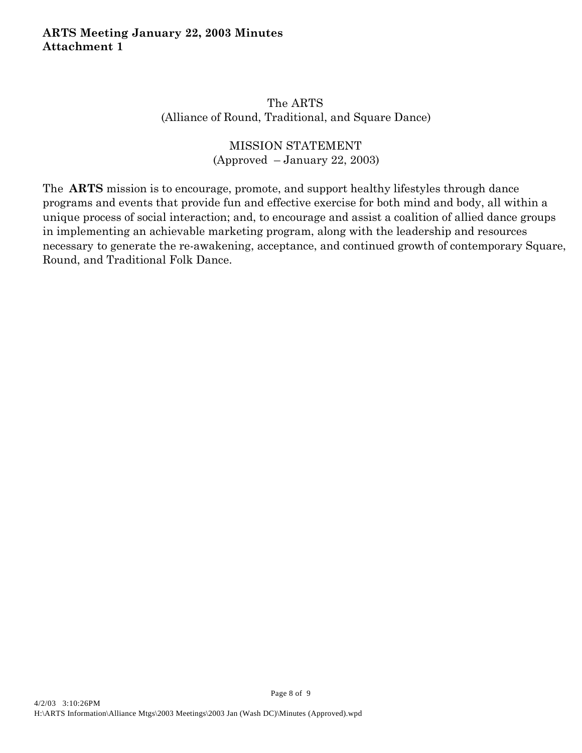# The ARTS (Alliance of Round, Traditional, and Square Dance)

# MISSION STATEMENT (Approved – January 22, 2003)

The **ARTS** mission is to encourage, promote, and support healthy lifestyles through dance programs and events that provide fun and effective exercise for both mind and body, all within a unique process of social interaction; and, to encourage and assist a coalition of allied dance groups in implementing an achievable marketing program, along with the leadership and resources necessary to generate the re-awakening, acceptance, and continued growth of contemporary Square, Round, and Traditional Folk Dance.